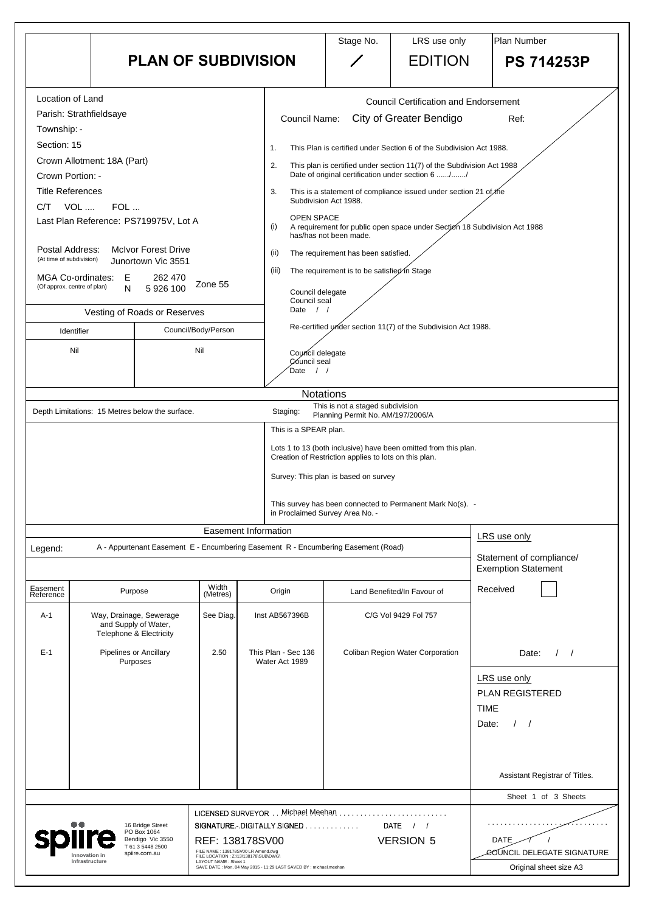|                                                                                                                                                                                                                                                                                                                                                                                                                                                                                                                                                            |                                                                                                                             |                                                                                                                         |                                                                                                                                           | Stage No.                                                                                                                                                                                                                                                                                                                                                                                                                                                                                                                                                                                                                                                                                                                                                                                                                                                                                                                                                                                                                                                                                                   | LRS use only                                              | Plan Number                                                                              |  |  |
|------------------------------------------------------------------------------------------------------------------------------------------------------------------------------------------------------------------------------------------------------------------------------------------------------------------------------------------------------------------------------------------------------------------------------------------------------------------------------------------------------------------------------------------------------------|-----------------------------------------------------------------------------------------------------------------------------|-------------------------------------------------------------------------------------------------------------------------|-------------------------------------------------------------------------------------------------------------------------------------------|-------------------------------------------------------------------------------------------------------------------------------------------------------------------------------------------------------------------------------------------------------------------------------------------------------------------------------------------------------------------------------------------------------------------------------------------------------------------------------------------------------------------------------------------------------------------------------------------------------------------------------------------------------------------------------------------------------------------------------------------------------------------------------------------------------------------------------------------------------------------------------------------------------------------------------------------------------------------------------------------------------------------------------------------------------------------------------------------------------------|-----------------------------------------------------------|------------------------------------------------------------------------------------------|--|--|
|                                                                                                                                                                                                                                                                                                                                                                                                                                                                                                                                                            | <b>PLAN OF SUBDIVISION</b>                                                                                                  |                                                                                                                         |                                                                                                                                           |                                                                                                                                                                                                                                                                                                                                                                                                                                                                                                                                                                                                                                                                                                                                                                                                                                                                                                                                                                                                                                                                                                             | <b>EDITION</b>                                            | <b>PS 714253P</b>                                                                        |  |  |
| Location of Land<br>Parish: Strathfieldsaye<br>Township: -<br>Section: 15<br>Crown Allotment: 18A (Part)<br>Crown Portion: -<br><b>Title References</b><br>VOL  FOL<br>C/T<br>Last Plan Reference: PS719975V, Lot A<br><b>McIvor Forest Drive</b><br>Postal Address:<br>(At time of subdivision)<br>Junortown Vic 3551<br>MGA Co-ordinates: E<br>262 470<br>Zone 55<br>(Of approx. centre of plan)<br>N<br>5 926 100<br>Vesting of Roads or Reserves<br>Council/Body/Person<br>Identifier<br>Nil<br>Nil<br>Depth Limitations: 15 Metres below the surface. |                                                                                                                             |                                                                                                                         | 1.<br>2.<br>3.<br>(i)<br>(ii)<br>(iii)<br>Date<br>Date<br>Staging:                                                                        | <b>Council Certification and Endorsement</b><br><b>City of Greater Bendigo</b><br><b>Council Name:</b><br>Ref:<br>This Plan is certified under Section 6 of the Subdivision Act 1988.<br>This plan is certified under section 11(7) of the Subdivision Act 1988<br>Date of original certification under section 6 //<br>This is a statement of compliance issued under section 21 of the<br>Subdivision Act 1988.<br><b>OPEN SPACE</b><br>A requirement for public open space under Section 18 Subdivision Act 1988<br>has/has not been made.<br>The requirement has been satisfied.<br>The requirement is to be satisfied in Stage<br>Council delegate<br>Council seal<br>$\frac{1}{2}$<br>Re-certified under section 11(7) of the Subdivision Act 1988.<br>Council delegate<br>Council seal<br>$\left  \right $<br><b>Notations</b><br>This is not a staged subdivision<br>Planning Permit No. AM/197/2006/A<br>This is a SPEAR plan.<br>Lots 1 to 13 (both inclusive) have been omitted from this plan.<br>Creation of Restriction applies to lots on this plan.<br>Survey: This plan is based on survey |                                                           |                                                                                          |  |  |
|                                                                                                                                                                                                                                                                                                                                                                                                                                                                                                                                                            |                                                                                                                             |                                                                                                                         | in Proclaimed Survey Area No. -                                                                                                           |                                                                                                                                                                                                                                                                                                                                                                                                                                                                                                                                                                                                                                                                                                                                                                                                                                                                                                                                                                                                                                                                                                             | This survey has been connected to Permanent Mark No(s). - |                                                                                          |  |  |
| Legend:                                                                                                                                                                                                                                                                                                                                                                                                                                                                                                                                                    | A - Appurtenant Easement E - Encumbering Easement R - Encumbering Easement (Road)                                           |                                                                                                                         | <b>Easement Information</b>                                                                                                               |                                                                                                                                                                                                                                                                                                                                                                                                                                                                                                                                                                                                                                                                                                                                                                                                                                                                                                                                                                                                                                                                                                             |                                                           | LRS use only<br>Statement of compliance/<br><b>Exemption Statement</b>                   |  |  |
| Easement<br>Reference                                                                                                                                                                                                                                                                                                                                                                                                                                                                                                                                      | Purpose                                                                                                                     | Width<br>(Metres)                                                                                                       | Origin                                                                                                                                    |                                                                                                                                                                                                                                                                                                                                                                                                                                                                                                                                                                                                                                                                                                                                                                                                                                                                                                                                                                                                                                                                                                             | Land Benefited/In Favour of                               | Received                                                                                 |  |  |
| $A-1$                                                                                                                                                                                                                                                                                                                                                                                                                                                                                                                                                      | Way, Drainage, Sewerage<br>and Supply of Water,<br>Telephone & Electricity                                                  | See Diag.                                                                                                               | Inst AB567396B                                                                                                                            |                                                                                                                                                                                                                                                                                                                                                                                                                                                                                                                                                                                                                                                                                                                                                                                                                                                                                                                                                                                                                                                                                                             | C/G Vol 9429 Fol 757                                      |                                                                                          |  |  |
| $E-1$                                                                                                                                                                                                                                                                                                                                                                                                                                                                                                                                                      | <b>Pipelines or Ancillary</b><br>Purposes                                                                                   | 2.50                                                                                                                    | This Plan - Sec 136<br>Water Act 1989                                                                                                     |                                                                                                                                                                                                                                                                                                                                                                                                                                                                                                                                                                                                                                                                                                                                                                                                                                                                                                                                                                                                                                                                                                             | Coliban Region Water Corporation                          | Date:<br>$\sqrt{ }$<br>LRS use only<br><b>PLAN REGISTERED</b><br><b>TIME</b><br>Date:    |  |  |
|                                                                                                                                                                                                                                                                                                                                                                                                                                                                                                                                                            |                                                                                                                             |                                                                                                                         |                                                                                                                                           |                                                                                                                                                                                                                                                                                                                                                                                                                                                                                                                                                                                                                                                                                                                                                                                                                                                                                                                                                                                                                                                                                                             |                                                           | Assistant Registrar of Titles.                                                           |  |  |
|                                                                                                                                                                                                                                                                                                                                                                                                                                                                                                                                                            | 16 Bridge Street<br>PO Box 1064<br>Bendigo Vic 3550<br>T 61 3 5448 2500<br>spiire.com.au<br>Innovation in<br>Infrastructure | REF: 138178SV00<br>FILE NAME: 138178SV00 LR Amend.dwg<br>FILE LOCATION : Z:\13\138178\SUB\DWG\<br>LAYOUT NAME : Sheet 1 | LICENSED SURVEYOR Michael Meehan .<br>SIGNATURE.-.DIGITALLY SIGNED<br>SAVE DATE : Mon, 04 May 2015 - 11:29 LAST SAVED BY : michael.meehan |                                                                                                                                                                                                                                                                                                                                                                                                                                                                                                                                                                                                                                                                                                                                                                                                                                                                                                                                                                                                                                                                                                             | DATE $/$ /<br><b>VERSION 5</b>                            | Sheet 1 of 3 Sheets<br>.<br>DATE<br>COUNCIL DELEGATE SIGNATURE<br>Original sheet size A3 |  |  |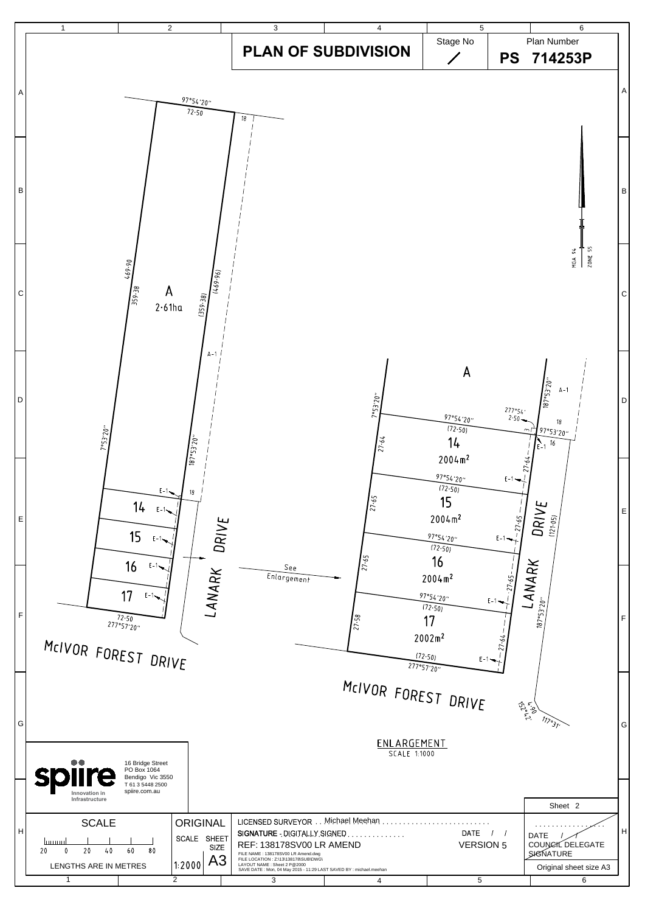